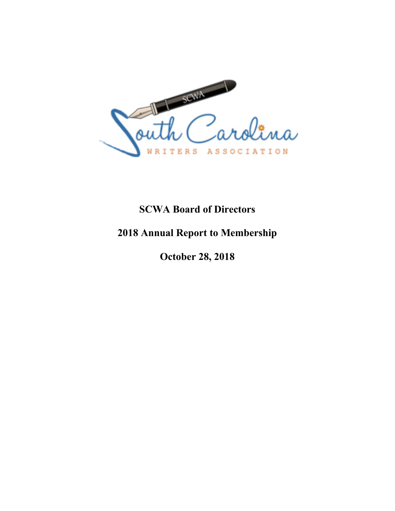

## **SCWA Board of Directors**

## **2018 Annual Report to Membership**

**October 28, 2018**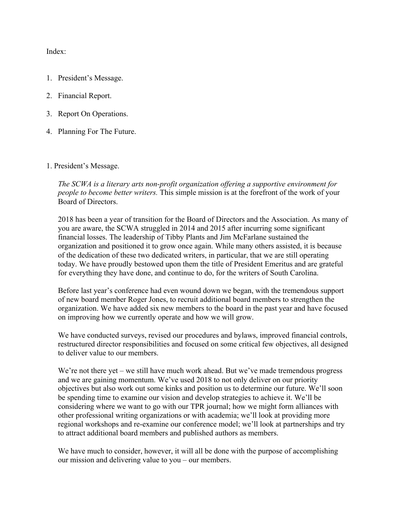Index:

- 1. President's Message.
- 2. Financial Report.
- 3. Report On Operations.
- 4. Planning For The Future.
- 1. President's Message.

*The SCWA is a literary arts non-profit organization offering a supportive environment for people to become better writers.* This simple mission is at the forefront of the work of your Board of Directors.

2018 has been a year of transition for the Board of Directors and the Association. As many of you are aware, the SCWA struggled in 2014 and 2015 after incurring some significant financial losses. The leadership of Tibby Plants and Jim McFarlane sustained the organization and positioned it to grow once again. While many others assisted, it is because of the dedication of these two dedicated writers, in particular, that we are still operating today. We have proudly bestowed upon them the title of President Emeritus and are grateful for everything they have done, and continue to do, for the writers of South Carolina.

Before last year's conference had even wound down we began, with the tremendous support of new board member Roger Jones, to recruit additional board members to strengthen the organization. We have added six new members to the board in the past year and have focused on improving how we currently operate and how we will grow.

We have conducted surveys, revised our procedures and bylaws, improved financial controls, restructured director responsibilities and focused on some critical few objectives, all designed to deliver value to our members.

We're not there yet – we still have much work ahead. But we've made tremendous progress and we are gaining momentum. We've used 2018 to not only deliver on our priority objectives but also work out some kinks and position us to determine our future. We'll soon be spending time to examine our vision and develop strategies to achieve it. We'll be considering where we want to go with our TPR journal; how we might form alliances with other professional writing organizations or with academia; we'll look at providing more regional workshops and re-examine our conference model; we'll look at partnerships and try to attract additional board members and published authors as members.

We have much to consider, however, it will all be done with the purpose of accomplishing our mission and delivering value to you – our members.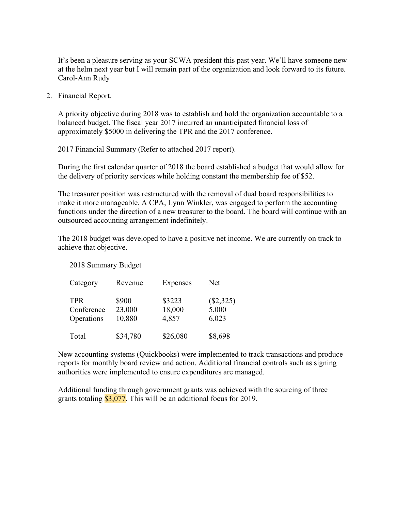It's been a pleasure serving as your SCWA president this past year. We'll have someone new at the helm next year but I will remain part of the organization and look forward to its future. Carol-Ann Rudy

2. Financial Report.

A priority objective during 2018 was to establish and hold the organization accountable to a balanced budget. The fiscal year 2017 incurred an unanticipated financial loss of approximately \$5000 in delivering the TPR and the 2017 conference.

2017 Financial Summary (Refer to attached 2017 report).

During the first calendar quarter of 2018 the board established a budget that would allow for the delivery of priority services while holding constant the membership fee of \$52.

The treasurer position was restructured with the removal of dual board responsibilities to make it more manageable. A CPA, Lynn Winkler, was engaged to perform the accounting functions under the direction of a new treasurer to the board. The board will continue with an outsourced accounting arrangement indefinitely.

The 2018 budget was developed to have a positive net income. We are currently on track to achieve that objective.

2018 Summary Budget

| Category   | Revenue  | Expenses | Net       |
|------------|----------|----------|-----------|
| <b>TPR</b> | \$900    | \$3223   | (\$2,325) |
| Conference | 23,000   | 18,000   | 5,000     |
| Operations | 10,880   | 4,857    | 6,023     |
| Total      | \$34,780 | \$26,080 | \$8,698   |

New accounting systems (Quickbooks) were implemented to track transactions and produce reports for monthly board review and action. Additional financial controls such as signing authorities were implemented to ensure expenditures are managed.

Additional funding through government grants was achieved with the sourcing of three grants totaling  $\frac{$3,077}{1}$ . This will be an additional focus for 2019.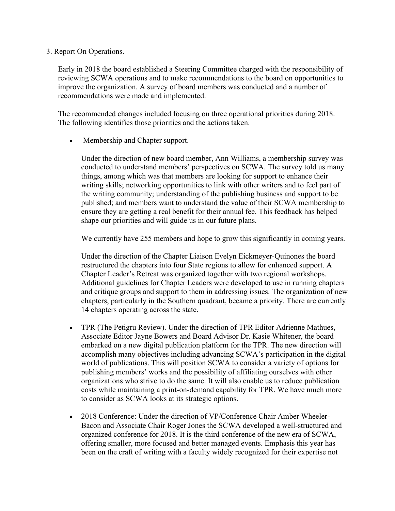## 3. Report On Operations.

Early in 2018 the board established a Steering Committee charged with the responsibility of reviewing SCWA operations and to make recommendations to the board on opportunities to improve the organization. A survey of board members was conducted and a number of recommendations were made and implemented.

The recommended changes included focusing on three operational priorities during 2018. The following identifies those priorities and the actions taken.

• Membership and Chapter support.

Under the direction of new board member, Ann Williams, a membership survey was conducted to understand members' perspectives on SCWA. The survey told us many things, among which was that members are looking for support to enhance their writing skills; networking opportunities to link with other writers and to feel part of the writing community; understanding of the publishing business and support to be published; and members want to understand the value of their SCWA membership to ensure they are getting a real benefit for their annual fee. This feedback has helped shape our priorities and will guide us in our future plans.

We currently have 255 members and hope to grow this significantly in coming years.

Under the direction of the Chapter Liaison Evelyn Eickmeyer-Quinones the board restructured the chapters into four State regions to allow for enhanced support. A Chapter Leader's Retreat was organized together with two regional workshops. Additional guidelines for Chapter Leaders were developed to use in running chapters and critique groups and support to them in addressing issues. The organization of new chapters, particularly in the Southern quadrant, became a priority. There are currently 14 chapters operating across the state.

- TPR (The Petigru Review). Under the direction of TPR Editor Adrienne Mathues, Associate Editor Jayne Bowers and Board Advisor Dr. Kasie Whitener, the board embarked on a new digital publication platform for the TPR. The new direction will accomplish many objectives including advancing SCWA's participation in the digital world of publications. This will position SCWA to consider a variety of options for publishing members' works and the possibility of affiliating ourselves with other organizations who strive to do the same. It will also enable us to reduce publication costs while maintaining a print-on-demand capability for TPR. We have much more to consider as SCWA looks at its strategic options.
- 2018 Conference: Under the direction of VP/Conference Chair Amber Wheeler-Bacon and Associate Chair Roger Jones the SCWA developed a well-structured and organized conference for 2018. It is the third conference of the new era of SCWA, offering smaller, more focused and better managed events. Emphasis this year has been on the craft of writing with a faculty widely recognized for their expertise not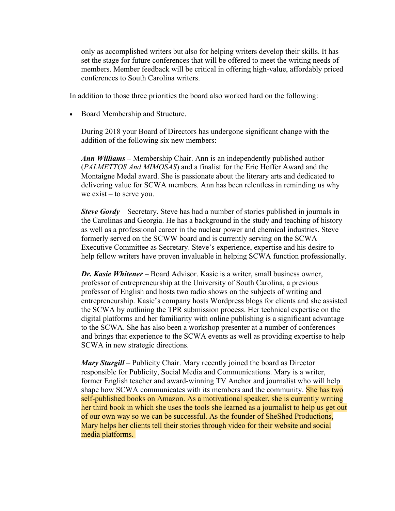only as accomplished writers but also for helping writers develop their skills. It has set the stage for future conferences that will be offered to meet the writing needs of members. Member feedback will be critical in offering high-value, affordably priced conferences to South Carolina writers.

In addition to those three priorities the board also worked hard on the following:

• Board Membership and Structure.

During 2018 your Board of Directors has undergone significant change with the addition of the following six new members:

*Ann Williams –* Membership Chair. Ann is an independently published author (*PALMETTOS And MIMOSAS*) and a finalist for the Eric Hoffer Award and the Montaigne Medal award. She is passionate about the literary arts and dedicated to delivering value for SCWA members. Ann has been relentless in reminding us why we exist – to serve you.

*Steve Gordy* – Secretary. Steve has had a number of stories published in journals in the Carolinas and Georgia. He has a background in the study and teaching of history as well as a professional career in the nuclear power and chemical industries. Steve formerly served on the SCWW board and is currently serving on the SCWA Executive Committee as Secretary. Steve's experience, expertise and his desire to help fellow writers have proven invaluable in helping SCWA function professionally.

*Dr. Kasie Whitener* – Board Advisor. Kasie is a writer, small business owner, professor of entrepreneurship at the University of South Carolina, a previous professor of English and hosts two radio shows on the subjects of writing and entrepreneurship. Kasie's company hosts Wordpress blogs for clients and she assisted the SCWA by outlining the TPR submission process. Her technical expertise on the digital platforms and her familiarity with online publishing is a significant advantage to the SCWA. She has also been a workshop presenter at a number of conferences and brings that experience to the SCWA events as well as providing expertise to help SCWA in new strategic directions.

*Mary Sturgill* – Publicity Chair. Mary recently joined the board as Director responsible for Publicity, Social Media and Communications. Mary is a writer, former English teacher and award-winning TV Anchor and journalist who will help shape how SCWA communicates with its members and the community. She has two self-published books on Amazon. As a motivational speaker, she is currently writing her third book in which she uses the tools she learned as a journalist to help us get out of our own way so we can be successful. As the founder of SheShed Productions, Mary helps her clients tell their stories through video for their website and social media platforms.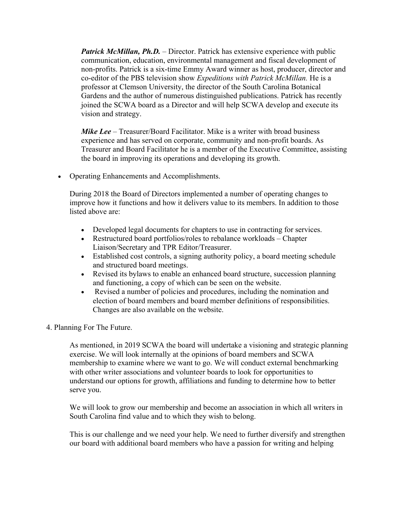*Patrick McMillan, Ph.D.* – Director. Patrick has extensive experience with public communication, education, environmental management and fiscal development of non-profits. Patrick is a six-time Emmy Award winner as host, producer, director and co-editor of the PBS television show *Expeditions with Patrick McMillan.* He is a professor at Clemson University, the director of the South Carolina Botanical Gardens and the author of numerous distinguished publications. Patrick has recently joined the SCWA board as a Director and will help SCWA develop and execute its vision and strategy.

*Mike Lee* – Treasurer/Board Facilitator. Mike is a writer with broad business experience and has served on corporate, community and non-profit boards. As Treasurer and Board Facilitator he is a member of the Executive Committee, assisting the board in improving its operations and developing its growth.

• Operating Enhancements and Accomplishments.

During 2018 the Board of Directors implemented a number of operating changes to improve how it functions and how it delivers value to its members. In addition to those listed above are:

- Developed legal documents for chapters to use in contracting for services.
- Restructured board portfolios/roles to rebalance workloads Chapter Liaison/Secretary and TPR Editor/Treasurer.
- Established cost controls, a signing authority policy, a board meeting schedule and structured board meetings.
- Revised its bylaws to enable an enhanced board structure, succession planning and functioning, a copy of which can be seen on the website.
- Revised a number of policies and procedures, including the nomination and election of board members and board member definitions of responsibilities. Changes are also available on the website.
- 4. Planning For The Future.

As mentioned, in 2019 SCWA the board will undertake a visioning and strategic planning exercise. We will look internally at the opinions of board members and SCWA membership to examine where we want to go. We will conduct external benchmarking with other writer associations and volunteer boards to look for opportunities to understand our options for growth, affiliations and funding to determine how to better serve you.

We will look to grow our membership and become an association in which all writers in South Carolina find value and to which they wish to belong.

This is our challenge and we need your help. We need to further diversify and strengthen our board with additional board members who have a passion for writing and helping